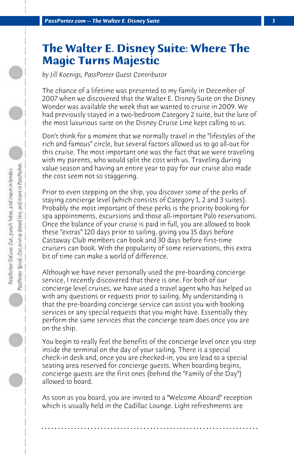## **The Walter E. Disney Suite: Where The Magic Turns Majestic**

*by Jill Koenigs, PassPorter Guest Contributor*

The chance of a lifetime was presented to my family in December of 2007 when we discovered that the Walter E. Disney Suite on the Disney Wonder was available the week that we wanted to cruise in 2009. We had previously stayed in a two-bedroom Category 2 suite, but the lure of the most luxurious suite on the Disney Cruise Line kept calling to us.

Don't think for a moment that we normally travel in the "lifestyles of the rich and famous" circle, but several factors allowed us to go all-out for this cruise. The most important one was the fact that we were traveling with my parents, who would split the cost with us. Traveling during value season and having an entire year to pay for our cruise also made the cost seem not so staggering.

Prior to even stepping on the ship, you discover some of the perks of staying concierge level (which consists of Category 1, 2 and 3 suites). Probably the most important of these perks is the priority booking for spa appointments, excursions and those all-important Palo reservations. Once the balance of your cruise is paid in full, you are allowed to book these "extras" 120 days prior to sailing, giving you 15 days before Castaway Club members can book and 30 days before first-time cruisers can book. With the popularity of some reservations, this extra bit of time can make a world of difference.

Although we have never personally used the pre-boarding concierge service, I recently discovered that there is one. For both of our concierge level cruises, we have used a travel agent who has helped us with any questions or requests prior to sailing. My understanding is that the pre-boarding concierge service can assist you with booking services or any special requests that you might have. Essentially they perform the same services that the concierge team does once you are on the ship.

You begin to really feel the benefits of the concierge level once you step inside the terminal on the day of your sailing. There is a special check-in desk and, once you are checked-in, you are lead to a special seating area reserved for concierge guests. When boarding begins, concierge guests are the first ones (behind the "Family of the Day") allowed to board.

As soon as you board, you are invited to a "Welcome Aboard" reception which is usually held in the Cadillac Lounge. Light refreshments are

**. . . . . . . . . . . . . . . . . . . . . . . . . . . . . . . . . . . . . . . . . . . . . . . . . . . . . . . . . . . . . . . . . .**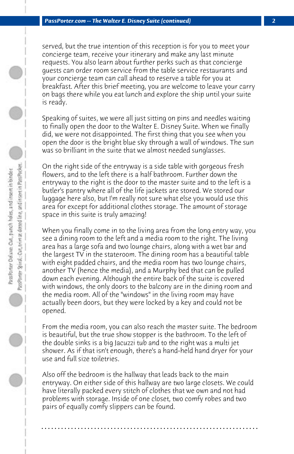served, but the true intention of this reception is for you to meet your concierge team, receive your itinerary and make any last minute requests. You also learn about further perks such as that concierge guests can order room service from the table service restaurants and your concierge team can call ahead to reserve a table for you at breakfast. After this brief meeting, you are welcome to leave your carry on bags there while you eat lunch and explore the ship until your suite is ready.

Speaking of suites, we were all just sitting on pins and needles waiting to finally open the door to the Walter E. Disney Suite. When we finally did, we were not disappointed. The first thing that you see when you open the door is the bright blue sky through a wall of windows. The sun was so brilliant in the suite that we almost needed sunglasses.

On the right side of the entryway is a side table with gorgeous fresh flowers, and to the left there is a half bathroom. Further down the entryway to the right is the door to the master suite and to the left is a butler's pantry where all of the life jackets are stored. We stored our luggage here also, but I'm really not sure what else you would use this area for except for additional clothes storage. The amount of storage space in this suite is truly amazing!

When you finally come in to the living area from the long entry way, you see a dining room to the left and a media room to the right. The living area has a large sofa and two lounge chairs, along with a wet bar and the largest TV in the stateroom. The dining room has a beautiful table with eight padded chairs, and the media room has two lounge chairs, another TV (hence the media), and a Murphy bed that can be pulled down each evening. Although the entire back of the suite is covered with windows, the only doors to the balcony are in the dining room and the media room. All of the "windows" in the living room may have actually been doors, but they were locked by a key and could not be opened.

From the media room, you can also reach the master suite. The bedroom is beautiful, but the true show stopper is the bathroom. To the left of the double sinks is a big Jacuzzi tub and to the right was a multi jet shower. As if that isn't enough, there's a hand-held hand dryer for your use and full size toiletries.

Also off the bedroom is the hallway that leads back to the main entryway. On either side of this hallway are two large closets. We could have literally packed every stitch of clothes that we own and not had problems with storage. Inside of one closet, two comfy robes and two pairs of equally comfy slippers can be found.

**. . . . . . . . . . . . . . . . . . . . . . . . . . . . . . . . . . . . . . . . . . . . . . . . . . . . . . . . . . . . . . . . . .**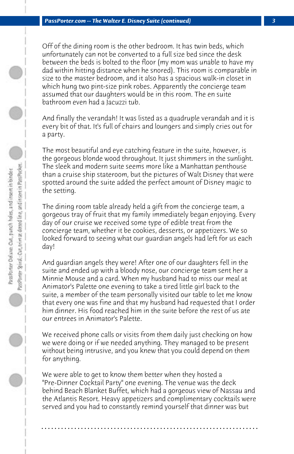Off of the dining room is the other bedroom. It has twin beds, which unfortunately can not be converted to a full size bed since the desk between the beds is bolted to the floor (my mom was unable to have my dad within hitting distance when he snored). This room is comparable in size to the master bedroom, and it also has a spacious walk-in closet in which hung two pint-size pink robes. Apparently the concierge team assumed that our daughters would be in this room. The en suite bathroom even had a Jacuzzi tub.

And finally the verandah! It was listed as a quadruple verandah and it is every bit of that. It's full of chairs and loungers and simply cries out for a party.

The most beautiful and eye catching feature in the suite, however, is the gorgeous blonde wood throughout. It just shimmers in the sunlight. The sleek and modern suite seems more like a Manhattan penthouse than a cruise ship stateroom, but the pictures of Walt Disney that were spotted around the suite added the perfect amount of Disney magic to the setting.

The dining room table already held a gift from the concierge team, a gorgeous tray of fruit that my family immediately began enjoying. Every day of our cruise we received some type of edible treat from the concierge team, whether it be cookies, desserts, or appetizers. We so looked forward to seeing what our guardian angels had left for us each day!

And guardian angels they were! After one of our daughters fell in the suite and ended up with a bloody nose, our concierge team sent her a Minnie Mouse and a card. When my husband had to miss our meal at Animator's Palette one evening to take a tired little girl back to the suite, a member of the team personally visited our table to let me know that every one was fine and that my husband had requested that I order him dinner. His food reached him in the suite before the rest of us ate our entrees in Animator's Palette.

We received phone calls or visits from them daily just checking on how we were doing or if we needed anything. They managed to be present without being intrusive, and you knew that you could depend on them for anything.

We were able to get to know them better when they hosted a "Pre-Dinner Cocktail Party" one evening. The venue was the deck behind Beach Blanket Buffet, which had a gorgeous view of Nassau and the Atlantis Resort. Heavy appetizers and complimentary cocktails were served and you had to constantly remind yourself that dinner was but

**. . . . . . . . . . . . . . . . . . . . . . . . . . . . . . . . . . . . . . . . . . . . . . . . . . . . . . . . . . . . . . . . . .**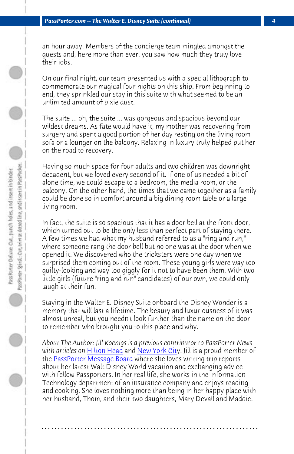an hour away. Members of the concierge team mingled amongst the guests and, here more than ever, you saw how much they truly love their jobs.

On our final night, our team presented us with a special lithograph to commemorate our magical four nights on this ship. From beginning to end, they sprinkled our stay in this suite with what seemed to be an unlimited amount of pixie dust.

The suite ... oh, the suite ... was gorgeous and spacious beyond our wildest dreams. As fate would have it, my mother was recovering from surgery and spent a good portion of her day resting on the living room sofa or a lounger on the balcony. Relaxing in luxury truly helped put her on the road to recovery.

Having so much space for four adults and two children was downright decadent, but we loved every second of it. If one of us needed a bit of alone time, we could escape to a bedroom, the media room, or the balcony. On the other hand, the times that we came together as a family could be done so in comfort around a big dining room table or a large living room.

In f[act, the suite is so spacious](http://www.passporterboards.com/) t[hat it has a do](http://www.passporter.com/news/news122707.htm#travel)or bell at the front door, which turned out to be the only less than perfect part of staying there. A few times we had what my husband referred to as a "ring and run," where someone rang the door bell but no one was at the door when we opened it. We discovered who the tricksters were one day when we surprised them coming out of the room. These young girls were way too guilty-looking and way too giggly for it not to have been them. With two little girls (future "ring and run" candidates) of our own, we could only laugh at their fun.

Staying in the Walter E. Disney Suite onboard the Disney Wonder is a memory that will last a lifetime. The beauty and luxuriousness of it was almost unreal, but you needn't look further than the name on the door to remember who brought you to this place and why.

*About The Author: Jill Koenigs is a previous contributor to PassPorter News with articles on* Hilton Head and New York City. Jill is a proud member of the PassPorter Message Board where she loves writing trip reports about her latest Walt Disney World vacation and exchanging advice with fellow Passporters. In her real life, she works in the Information Technology department of an insurance company and enjoys reading and cooking. She loves nothing more than being in her happy place with her husband, Thom, and their two daughters, Mary Devall and Maddie.

**. . . . . . . . . . . . . . . . . . . . . . . . . . . . . . . . . . . . . . . . . . . . . . . . . . . . . . . . . . . . . . . . . .**

 $\bigcirc$